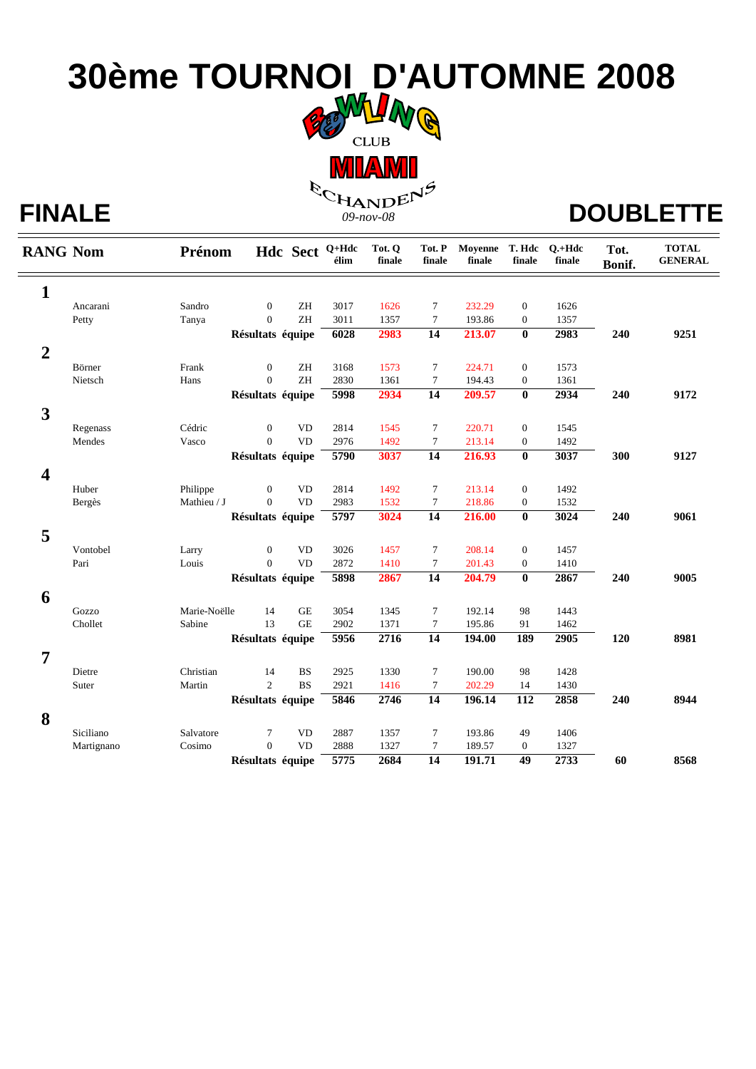## **30ème TOURNOI D'AUTOMNE 2008**

**CLUB MLAMI** FINALE  $\begin{matrix} \mathcal{R}_{\mathcal{C}_{\mathbf{H_{\mathbf{A}}\mathbf{N}}\mathbf{D}}\mathbf{E}^{\mathbf{N}} \end{matrix}^{\beta}$  DOUBLETTE

| <b>RANG Nom</b>         |                  | Prénom                 |                  |                            | Hdc Sect <sup>Q+Hdc</sup><br>élim | Tot. Q<br>finale | Tot. P<br>finale | Moyenne<br>finale | T. Hdc<br>finale | $O.+Hdc$<br>finale | Tot.<br>Bonif. | <b>TOTAL</b><br><b>GENERAL</b> |
|-------------------------|------------------|------------------------|------------------|----------------------------|-----------------------------------|------------------|------------------|-------------------|------------------|--------------------|----------------|--------------------------------|
| $\mathbf{1}$            |                  |                        |                  |                            |                                   |                  |                  |                   |                  |                    |                |                                |
|                         | Ancarani         | Sandro                 | $\overline{0}$   | ZH                         | 3017                              | 1626             | $\tau$           | 232.29            | $\mathbf{0}$     | 1626               |                |                                |
|                         | Petty            | Tanya                  | $\overline{0}$   | $\ensuremath{\mathrm{ZH}}$ | 3011                              | 1357             | $\tau$           | 193.86            | $\boldsymbol{0}$ | 1357               |                |                                |
|                         |                  |                        | Résultats équipe |                            | 6028                              | 2983             | 14               | 213.07            | $\bf{0}$         | 2983               | 240            | 9251                           |
| $\overline{2}$          |                  |                        |                  |                            |                                   |                  |                  |                   |                  |                    |                |                                |
|                         | Börner           | Frank                  | $\mathbf{0}$     | ZH                         | 3168                              | 1573             | $\tau$           | 224.71            | $\boldsymbol{0}$ | 1573               |                |                                |
|                         | Nietsch          | Hans                   | $\overline{0}$   | $\ensuremath{\mathsf{ZH}}$ | 2830                              | 1361             | $\tau$           | 194.43            | $\boldsymbol{0}$ | 1361               |                |                                |
|                         |                  |                        | Résultats équipe |                            | 5998                              | 2934             | 14               | 209.57            | $\bf{0}$         | 2934               | 240            | 9172                           |
|                         |                  |                        |                  |                            |                                   |                  |                  |                   |                  |                    |                |                                |
| 3                       |                  |                        |                  |                            |                                   |                  |                  |                   |                  |                    |                |                                |
|                         | Regenass         | Cédric                 | $\mathbf{0}$     | <b>VD</b>                  | 2814                              | 1545             | $\tau$           | 220.71            | $\boldsymbol{0}$ | 1545               |                |                                |
|                         | Mendes           | Vasco                  | $\Omega$         | <b>VD</b>                  | 2976                              | 1492             | $\tau$           | 213.14            | $\boldsymbol{0}$ | 1492               |                |                                |
|                         |                  |                        | Résultats équipe |                            | 5790                              | 3037             | $\overline{14}$  | 216.93            | $\bf{0}$         | 3037               | 300            | 9127                           |
| $\overline{\mathbf{4}}$ |                  |                        |                  |                            |                                   |                  |                  |                   |                  |                    |                |                                |
|                         | Huber            | Philippe               | $\mathbf{0}$     | <b>VD</b>                  | 2814                              | 1492             | 7                | 213.14            | $\mathbf{0}$     | 1492               |                |                                |
|                         | Bergès           | Mathieu / J            | $\Omega$         | <b>VD</b>                  | 2983                              | 1532             | $\tau$           | 218.86            | $\mathbf{0}$     | 1532               |                |                                |
|                         |                  |                        | Résultats équipe |                            | 5797                              | 3024             | $\overline{14}$  | 216.00            | $\bf{0}$         | 3024               | 240            | 9061                           |
| 5                       |                  |                        |                  |                            |                                   |                  |                  |                   |                  |                    |                |                                |
|                         | Vontobel         | Larry                  | $\mathbf{0}$     | <b>VD</b>                  | 3026                              | 1457             | $\tau$           | 208.14            | $\mathbf{0}$     | 1457               |                |                                |
|                         | Pari             | Louis                  | $\Omega$         | <b>VD</b>                  | 2872                              | 1410             | $\tau$           | 201.43            | $\mathbf{0}$     | 1410               |                |                                |
|                         |                  |                        | Résultats équipe |                            | 5898                              | 2867             | 14               | 204.79            | $\bf{0}$         | 2867               | 240            | 9005                           |
|                         |                  |                        |                  |                            |                                   |                  |                  |                   |                  |                    |                |                                |
| 6                       |                  |                        |                  |                            |                                   |                  |                  |                   |                  |                    |                |                                |
|                         | Gozzo<br>Chollet | Marie-Noëlle<br>Sabine | 14<br>13         | $\rm GE$<br><b>GE</b>      | 3054<br>2902                      | 1345<br>1371     | $\tau$<br>$\tau$ | 192.14<br>195.86  | 98<br>91         | 1443<br>1462       |                |                                |
|                         |                  |                        |                  |                            | 5956                              | 2716             | $\overline{14}$  | 194.00            | <b>189</b>       | 2905               | 120            | 8981                           |
|                         |                  |                        | Résultats équipe |                            |                                   |                  |                  |                   |                  |                    |                |                                |
| $\overline{7}$          |                  |                        |                  |                            |                                   |                  |                  |                   |                  |                    |                |                                |
|                         | Dietre           | Christian              | 14               | <b>BS</b>                  | 2925                              | 1330             | $\tau$           | 190.00            | 98               | 1428               |                |                                |
|                         | Suter            | Martin                 | 2                | <b>BS</b>                  | 2921                              | 1416             | $\tau$           | 202.29            | 14               | 1430               |                |                                |
|                         |                  |                        | Résultats équipe |                            | 5846                              | 2746             | 14               | 196.14            | $\overline{112}$ | 2858               | 240            | 8944                           |
| 8                       |                  |                        |                  |                            |                                   |                  |                  |                   |                  |                    |                |                                |
|                         | Siciliano        | Salvatore              | 7                | <b>VD</b>                  | 2887                              | 1357             | $\tau$           | 193.86            | 49               | 1406               |                |                                |
|                         | Martignano       | Cosimo                 | $\overline{0}$   | <b>VD</b>                  | 2888                              | 1327             | $\tau$           | 189.57            | $\boldsymbol{0}$ | 1327               |                |                                |
|                         |                  |                        | Résultats équipe |                            | $\sqrt{5775}$                     | 2684             | 14               | 191.71            | $\overline{49}$  | 2733               | 60             | 8568                           |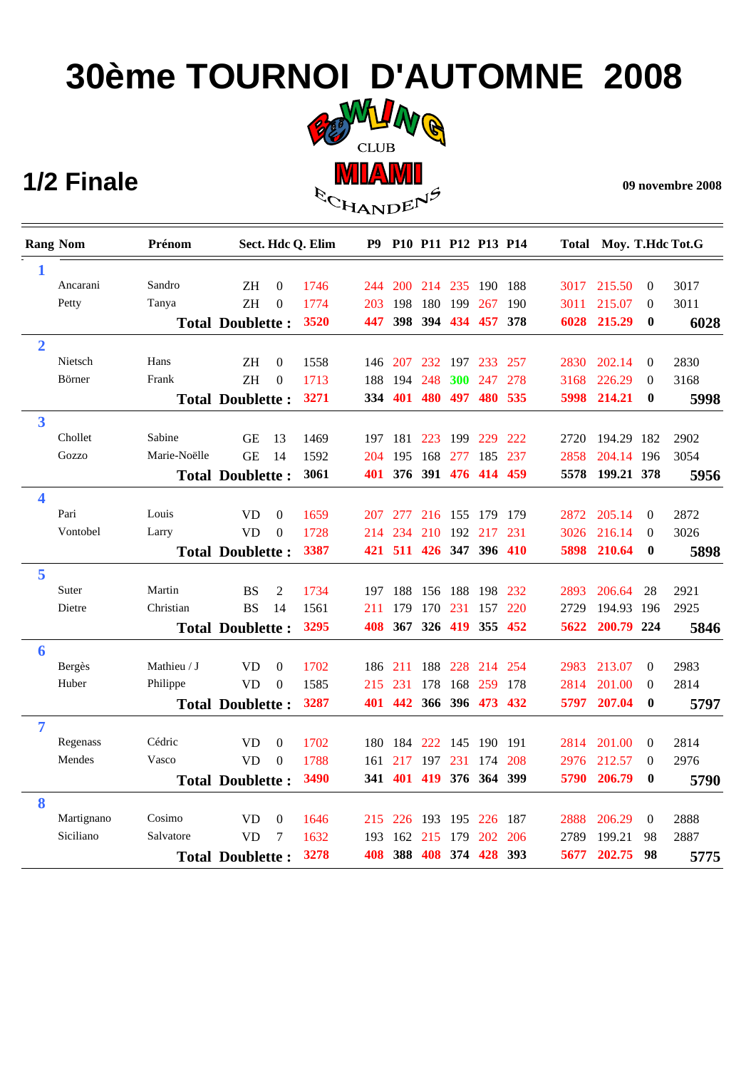# **30ème TOURNOI D'AUTOMNE 2008**



|                | 1/2 Finale      |              |                         |                  |                   | <u>IMIL/AIMIT</u><br><b>ECHANDENS</b> |                 |         |            |                         |         |      |                        |                  | 09 novembre 2008 |
|----------------|-----------------|--------------|-------------------------|------------------|-------------------|---------------------------------------|-----------------|---------|------------|-------------------------|---------|------|------------------------|------------------|------------------|
|                | <b>Rang Nom</b> | Prénom       |                         |                  | Sect. Hdc Q. Elim | <b>P9</b>                             |                 |         |            | P10 P11 P12 P13 P14     |         |      | Total Moy. T.Hdc Tot.G |                  |                  |
| 1              |                 |              |                         |                  |                   |                                       |                 |         |            |                         |         |      |                        |                  |                  |
|                | Ancarani        | Sandro       | ΖH                      | $\theta$         | 1746              | 244                                   | <b>200</b>      | 214 235 |            | 190 188                 |         | 3017 | 215.50                 | $\theta$         | 3017             |
|                | Petty           | Tanya        | <b>ZH</b>               | $\Omega$         | 1774              | 203                                   | 198             | 180 199 |            | 267                     | 190     | 3011 | 215.07                 | $\theta$         | 3011             |
|                |                 |              | <b>Total Doublette:</b> |                  | 3520              | 447                                   | 398             |         |            | 394 434 457 378         |         | 6028 | 215.29                 | $\bf{0}$         | 6028             |
| $\overline{2}$ |                 |              |                         |                  |                   |                                       |                 |         |            |                         |         |      |                        |                  |                  |
|                | Nietsch         | Hans         | ΖH                      | $\mathbf{0}$     | 1558              |                                       | 146 207         |         | 232 197    |                         | 233 257 | 2830 | 202.14                 | $\theta$         | 2830             |
|                | Börner          | Frank        | <b>ZH</b>               | $\Omega$         | 1713              |                                       | 188 194         | 248     | <b>300</b> | 247 278                 |         | 3168 | 226.29                 | $\theta$         | 3168             |
|                |                 |              | <b>Total Doublette:</b> |                  | 3271              | 334                                   | 401             |         | 480 497    |                         | 480 535 | 5998 | 214.21                 | $\bf{0}$         | 5998             |
| 3              |                 |              |                         |                  |                   |                                       |                 |         |            |                         |         |      |                        |                  |                  |
|                | Chollet         | Sabine       | <b>GE</b>               | 13               | 1469              | 197                                   | 181             | 223     | 199        |                         | 229 222 | 2720 | 194.29 182             |                  | 2902             |
|                | Gozzo           | Marie-Noëlle | <b>GE</b>               | 14               | 1592              | 204                                   | 195             |         | 168 277    | 185 237                 |         | 2858 | 204.14 196             |                  | 3054             |
|                |                 |              | <b>Total Doublette:</b> |                  | 3061              |                                       |                 |         |            | 401 376 391 476 414 459 |         | 5578 | 199.21 378             |                  | 5956             |
| 4              |                 |              |                         |                  |                   |                                       |                 |         |            |                         |         |      |                        |                  |                  |
|                | Pari            | Louis        | <b>VD</b>               | $\Omega$         | 1659              | 207                                   | 277             |         | 216 155    | 179 179                 |         | 2872 | 205.14                 | $\theta$         | 2872             |
|                | Vontobel        | Larry        | <b>VD</b>               | $\Omega$         | 1728              |                                       | 214 234         |         |            | 210 192 217 231         |         | 3026 | 216.14                 | $\theta$         | 3026             |
|                |                 |              | <b>Total Doublette:</b> |                  | 3387              |                                       |                 |         |            | 421 511 426 347 396 410 |         | 5898 | 210.64                 | $\bf{0}$         | 5898             |
| 5              |                 |              |                         |                  |                   |                                       |                 |         |            |                         |         |      |                        |                  |                  |
|                | Suter           | Martin       | <b>BS</b>               | 2                | 1734              | 197                                   | 188             | 156 188 |            | 198 232                 |         | 2893 | 206.64                 | 28               | 2921             |
|                | Dietre          | Christian    | <b>BS</b>               | 14               | 1561              | 211                                   | 179             |         | 170 231    |                         | 157 220 | 2729 | 194.93 196             |                  | 2925             |
|                |                 |              | <b>Total Doublette:</b> |                  | 3295              | 408                                   | 367             | 326 419 |            | 355 452                 |         | 5622 | 200.79 224             |                  | 5846             |
| 6              |                 |              |                         |                  |                   |                                       |                 |         |            |                         |         |      |                        |                  |                  |
|                | Bergès          | Mathieu / J  | VD                      | $\Omega$         | 1702              |                                       | 186 211         |         | 188 228    | 214 254                 |         | 2983 | 213.07                 | $\theta$         | 2983             |
|                | Huber           | Philippe     | <b>VD</b>               | $\Omega$         | 1585              | 215                                   | 231             | 178     | 168        | 259 178                 |         | 2814 | 201.00                 | $\theta$         | 2814             |
|                |                 |              | <b>Total Doublette:</b> |                  | 3287              |                                       | 401 442         |         |            | 366 396 473 432         |         | 5797 | 207.04                 | $\bf{0}$         | 5797             |
| 7              |                 |              |                         |                  |                   |                                       |                 |         |            |                         |         |      |                        |                  |                  |
|                | Regenass        | Cédric       | <b>VD</b>               | $\overline{0}$   | 1702              |                                       |                 |         |            | 180 184 222 145 190 191 |         | 2814 | 201.00                 | $\overline{0}$   | 2814             |
|                | Mendes          | Vasco        | <b>VD</b>               | $\theta$         | 1788              |                                       | 161 217 197 231 |         |            | 174 208                 |         | 2976 | 212.57                 | $\theta$         | 2976             |
|                |                 |              | <b>Total Doublette:</b> |                  | 3490              |                                       |                 |         |            | 341 401 419 376 364 399 |         |      | 5790 206.79            | $\bf{0}$         | 5790             |
| 8              |                 |              |                         |                  |                   |                                       |                 |         |            |                         |         |      |                        |                  |                  |
|                | Martignano      | Cosimo       | <b>VD</b>               | $\boldsymbol{0}$ | 1646              |                                       |                 |         |            | 215 226 193 195 226 187 |         | 2888 | 206.29                 | $\boldsymbol{0}$ | 2888             |
|                | Siciliano       | Salvatore    | <b>VD</b>               | 7                | 1632              |                                       |                 |         |            | 193 162 215 179 202 206 |         | 2789 | 199.21                 | 98               | 2887             |
|                |                 |              | <b>Total Doublette:</b> |                  | 3278              |                                       |                 |         |            | 408 388 408 374 428 393 |         |      | 5677 202.75 98         |                  | 5775             |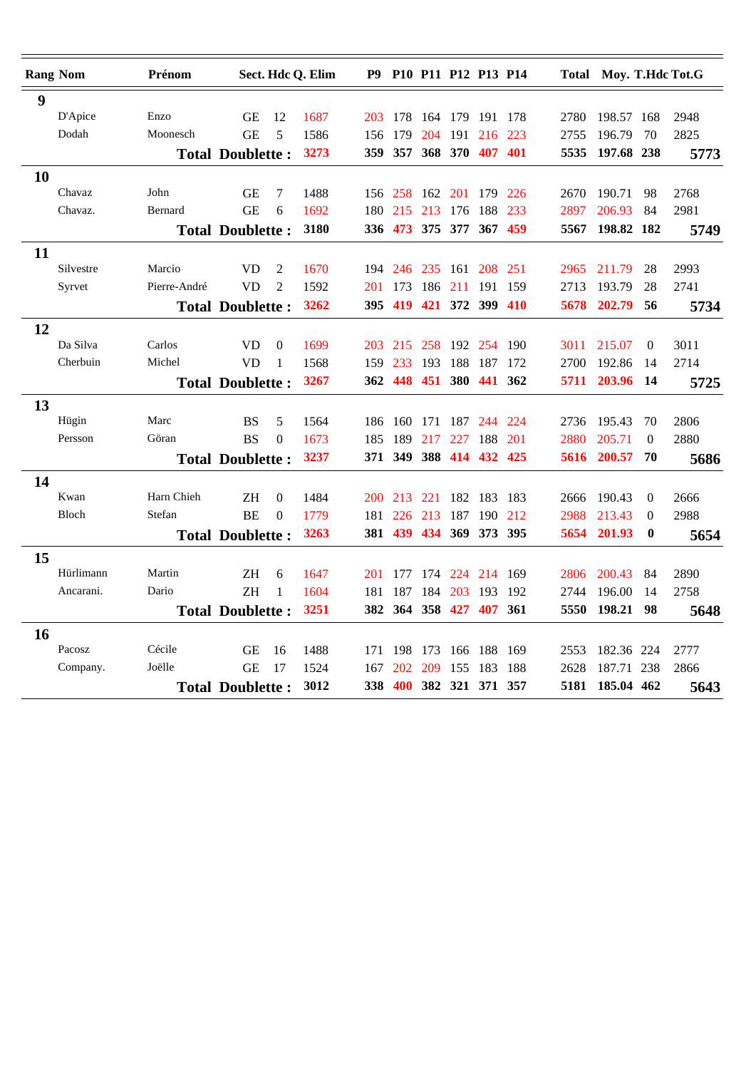|    | <b>Rang Nom</b> | Prénom       |                                 |                | Sect. Hdc Q. Elim | P9   |         | P10 P11 P12 P13 P14 |         |                 |         |      | Total Moy. T.Hdc Tot.G |                  |      |
|----|-----------------|--------------|---------------------------------|----------------|-------------------|------|---------|---------------------|---------|-----------------|---------|------|------------------------|------------------|------|
| 9  |                 |              |                                 |                |                   |      |         |                     |         |                 |         |      |                        |                  |      |
|    | D'Apice         | Enzo         | GЕ                              | 12             | 1687              | 203  | 178     | 164                 | -179    | 191             | -178    | 2780 | 198.57                 | 168              | 2948 |
|    | Dodah           | Moonesch     | <b>GE</b>                       | 5              | 1586              | 156  | 179     | 204                 | 191     | 216             | 223     | 2755 | 196.79                 | 70               | 2825 |
|    |                 |              | <b>Total Doublette:</b>         |                | 3273              | 359  | 357     |                     | 368 370 |                 | 407 401 | 5535 | 197.68 238             |                  | 5773 |
| 10 |                 |              |                                 |                |                   |      |         |                     |         |                 |         |      |                        |                  |      |
|    | Chavaz          | John         | <b>GE</b>                       | 7              | 1488              |      | 156 258 | 162 201             |         | 179             | 226     | 2670 | 190.71                 | 98               | 2768 |
|    | Chavaz.         | Bernard      | <b>GE</b>                       | 6              | 1692              | 180  | 215     | 213                 | 176     | 188             | 233     | 2897 | 206.93                 | 84               | 2981 |
|    |                 |              | <b>Total Doublette:</b>         |                | 3180              |      | 336 473 |                     | 375 377 |                 | 367 459 | 5567 | 198.82 182             |                  | 5749 |
| 11 |                 |              |                                 |                |                   |      |         |                     |         |                 |         |      |                        |                  |      |
|    | Silvestre       | Marcio       | <b>VD</b>                       | $\overline{2}$ | 1670              | 194  | 246     | 235                 | 161     | 208             | 251     | 2965 | 211.79                 | 28               | 2993 |
|    | Syrvet          | Pierre-André | <b>VD</b>                       | $\overline{2}$ | 1592              | 201  | 173     | 186                 | 211     |                 | 191 159 | 2713 | 193.79                 | 28               | 2741 |
|    |                 |              | <b>Total Doublette:</b>         |                | 3262              | 395. | 419     |                     | 421 372 | 399 410         |         | 5678 | 202.79                 | 56               | 5734 |
| 12 |                 |              |                                 |                |                   |      |         |                     |         |                 |         |      |                        |                  |      |
|    | Da Silva        | Carlos       | <b>VD</b>                       | $\theta$       | 1699              | 203  | 215     | 258                 |         | 192 254 190     |         | 3011 | 215.07                 | $\Omega$         | 3011 |
|    | Cherbuin        | Michel       | <b>VD</b>                       | 1              | 1568              | 159  | 233     | 193                 | 188     | 187             | 172     | 2700 | 192.86                 | 14               | 2714 |
|    |                 |              | <b>Total Doublette:</b>         |                | 3267              | 362  | 448     | 451                 | 380     |                 | 441 362 | 5711 | 203.96                 | 14               | 5725 |
| 13 |                 |              |                                 |                |                   |      |         |                     |         |                 |         |      |                        |                  |      |
|    | Hügin           | Marc         | <b>BS</b>                       | 5              | 1564              | 186  | 160     | 171                 | 187     | 244 224         |         | 2736 | 195.43                 | 70               | 2806 |
|    | Persson         | Göran        | <b>BS</b>                       | $\theta$       | 1673              | 185  | 189     | 217                 | 227     | 188             | 201     | 2880 | 205.71                 | $\boldsymbol{0}$ | 2880 |
|    |                 |              | <b>Total Doublette:</b>         |                | 3237              | 371  | 349     | 388                 | -414    |                 | 432 425 | 5616 | 200.57                 | 70               | 5686 |
| 14 |                 |              |                                 |                |                   |      |         |                     |         |                 |         |      |                        |                  |      |
|    | Kwan            | Harn Chieh   | ΖH                              | $\theta$       | 1484              | 200  | 213     | 221                 | 182     | 183 183         |         | 2666 | 190.43                 | $\Omega$         | 2666 |
|    | Bloch           | Stefan       | <b>BE</b>                       | $\overline{0}$ | 1779              | 181  | 226     | 213                 | 187     | 190             | 212     | 2988 | 213.43                 | 0                | 2988 |
|    |                 |              | <b>Total Doublette:</b>         |                | 3263              |      | 381 439 |                     | 434 369 |                 | 373 395 | 5654 | 201.93                 | $\bf{0}$         | 5654 |
| 15 |                 |              |                                 |                |                   |      |         |                     |         |                 |         |      |                        |                  |      |
|    | Hürlimann       | Martin       | ΖH                              | 6              | 1647              | 201  | 177     | 174                 | 224     | 214             | -169    | 2806 | 200.43                 | 84               | 2890 |
|    | Ancarani.       | Dario        | <b>ZH</b>                       | 1              | 1604              | 181  | 187     | 184                 | 203     | 193             | - 192   | 2744 | 196.00                 | 14               | 2758 |
|    |                 |              | <b>Total Doublette:</b>         |                | 3251              | 382  | 364     |                     | 358 427 |                 | 407 361 | 5550 | 198.21                 | 98               | 5648 |
| 16 |                 |              |                                 |                |                   |      |         |                     |         |                 |         |      |                        |                  |      |
|    | Pacosz          | Cécile       | <b>GE</b>                       | 16             | 1488              | 171  | 198     | 173                 | 166     | 188             | -169    | 2553 | 182.36 224             |                  | 2777 |
|    | Company.        | Joëlle       | <b>GE</b>                       | 17             | 1524              | 167  | 202     | 209                 | 155     | 183             | 188     | 2628 | 187.71                 | 238              | 2866 |
|    |                 |              | 3012<br><b>Total Doublette:</b> |                |                   | 338  | 400     |                     |         | 382 321 371 357 |         | 5181 | 185.04 462             |                  | 5643 |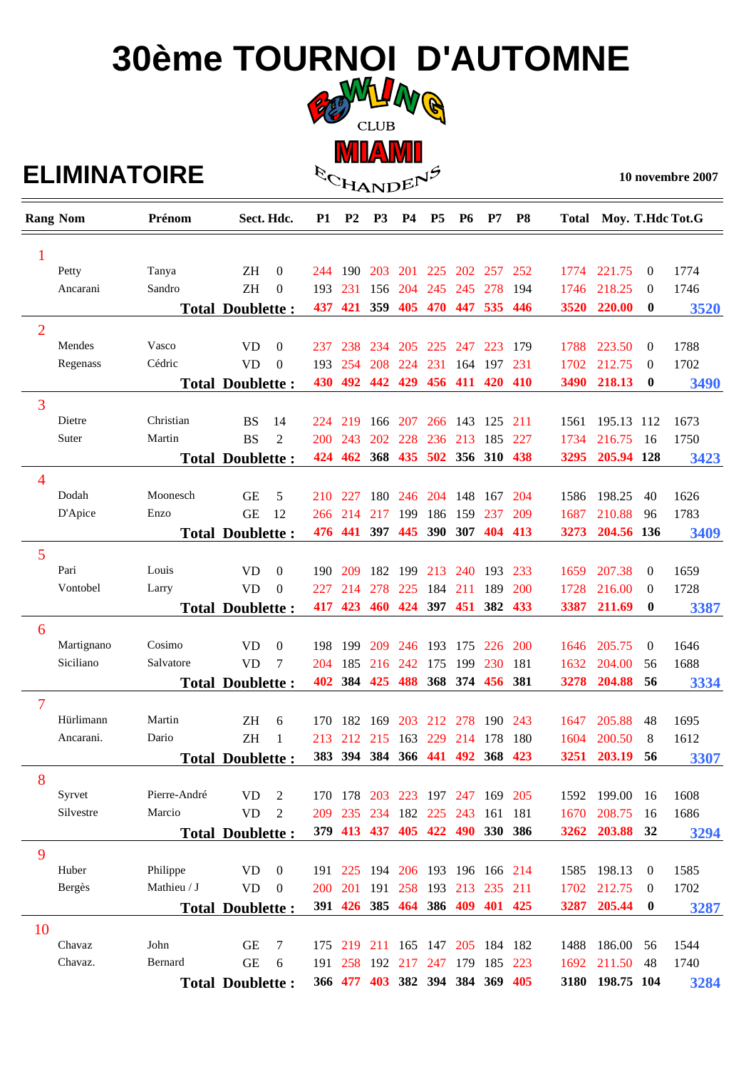## **30ème TOURNOI D'AUTOMNE CLUB**

### $E$ **LIMINATOIRE**  $\mathbb{R}_{\mathbb{C}_{\mathbf{H_{AND}}E} \cap \mathbb{P}^{\mathcal{P}}}$

**MIAMI** 

**10 novembre 2007** 

|                | <b>Rang Nom</b> | Prénom       |                         | Sect. Hdc.     | <b>P1</b> | P <sub>2</sub> | P <sub>3</sub>                  | <b>P4</b>           | P <sub>5</sub>      | <b>P6</b> | P7              | P <sub>8</sub> |             | Total Moy. T.Hdc Tot.G |                |      |
|----------------|-----------------|--------------|-------------------------|----------------|-----------|----------------|---------------------------------|---------------------|---------------------|-----------|-----------------|----------------|-------------|------------------------|----------------|------|
| 1              |                 |              |                         |                |           |                |                                 |                     |                     |           |                 |                |             |                        |                |      |
|                | Petty           | Tanya        | <b>ZH</b>               | $\theta$       | 244       | -190           | <b>203</b>                      |                     | 201 225 202 257     |           |                 | 252            | 1774        | 221.75                 | $\theta$       | 1774 |
|                | Ancarani        | Sandro       | <b>ZH</b>               | $\theta$       | 193       | 231            | 156                             | 204                 | 245                 | 245       | 278             | 194            | 1746        | 218.25                 | $\theta$       | 1746 |
|                |                 |              | <b>Total Doublette:</b> |                | 437       |                | 421 359                         |                     | 405 470 447 535 446 |           |                 |                | 3520        | 220.00                 | $\bf{0}$       | 3520 |
| $\overline{2}$ |                 |              |                         |                |           |                |                                 |                     |                     |           |                 |                |             |                        |                |      |
|                | Mendes          | Vasco        | <b>VD</b>               | $\Omega$       | 237       |                | 238 234 205 225 247 223         |                     |                     |           |                 | 179            | 1788        | 223.50                 | $\overline{0}$ | 1788 |
|                | Regenass        | Cédric       | <b>VD</b>               | $\overline{0}$ | 193       | 254            | 208                             | 224                 | 231                 | 164       | 197             | 231            | 1702        | 212.75                 | $\overline{0}$ | 1702 |
|                |                 |              | <b>Total Doublette:</b> |                | 430       | 492            |                                 | 442 429             |                     |           | 456 411 420 410 |                | <b>3490</b> | 218.13                 | $\bf{0}$       | 3490 |
| 3              |                 |              |                         |                |           |                |                                 |                     |                     |           |                 |                |             |                        |                |      |
|                | Dietre          | Christian    | <b>BS</b>               | 14             | 224       | 219            |                                 | 166 207 266 143 125 |                     |           |                 | 211            | 1561        | 195.13 112             |                | 1673 |
|                | Suter           | Martin       | <b>BS</b>               | 2              | 200       | 243            |                                 | 202 228 236 213 185 |                     |           |                 | 227            | 1734        | 216.75                 | -16            | 1750 |
|                |                 |              | <b>Total Doublette:</b> |                |           |                | 424 462 368 435 502 356 310 438 |                     |                     |           |                 |                | 3295        | 205.94 128             |                | 3423 |
| $\overline{4}$ |                 |              |                         |                |           |                |                                 |                     |                     |           |                 |                |             |                        |                |      |
|                | Dodah           | Moonesch     | <b>GE</b>               | 5              | 210       | 227            |                                 | 180 246             |                     | 204 148   | 167             | 204            | 1586        | 198.25                 | 40             | 1626 |
|                | D'Apice         | Enzo         | <b>GE</b>               | 12             | 266       | 214            | 217                             | 199                 | 186                 | 159       | 237             | 209            | 1687        | 210.88                 | 96             | 1783 |
|                |                 |              | <b>Total Doublette:</b> |                | 476       | 441            | 397                             | 445                 |                     | 390 307   | 404             | 413            | 3273        | 204.56 136             |                | 3409 |
| 5              |                 |              |                         |                |           |                |                                 |                     |                     |           |                 |                |             |                        |                |      |
|                | Pari            | Louis        | <b>VD</b>               | $\overline{0}$ | 190.      | 209            | 182                             | 199                 | 213                 | 240       | 193             | 233            | 1659        | 207.38                 | $\overline{0}$ | 1659 |
|                | Vontobel        | Larry        | <b>VD</b>               | $\theta$       | 227       | 214            | 278                             | 225                 | 184                 | 211       | 189             | 200            | 1728        | 216.00                 | $\theta$       | 1728 |
|                |                 |              | <b>Total Doublette:</b> |                | 417       | 423            |                                 | 460 424 397 451 382 |                     |           |                 | 433            | 3387        | 211.69                 | $\bf{0}$       | 3387 |
| 6              |                 |              |                         |                |           |                |                                 |                     |                     |           |                 |                |             |                        |                |      |
|                | Martignano      | Cosimo       | <b>VD</b>               | $\overline{0}$ | 198.      | 199            | 209                             |                     | 246 193             | 175       | 226             | 200            | 1646        | 205.75                 | $\overline{0}$ | 1646 |
|                | Siciliano       | Salvatore    | <b>VD</b>               | 7              | 204       | 185            |                                 | 216 242 175         |                     |           | 199 230         | 181            | 1632        | 204.00                 | 56             | 1688 |
|                |                 |              | <b>Total Doublette:</b> |                |           |                | 402 384 425 488 368 374 456 381 |                     |                     |           |                 |                | 3278        | 204.88                 | 56             | 3334 |
| 7              |                 |              |                         |                |           |                |                                 |                     |                     |           |                 |                |             |                        |                |      |
|                | Hürlimann       | Martin       | <b>ZH</b>               | 6              | 170       |                | 182 169                         | 203                 | 212                 | 278       | 190             | 243            | 1647        | 205.88                 | 48             | 1695 |
|                | Ancarani.       | Dario        | <b>ZH</b>               | 1              | 213       |                | 212 215                         | 163                 | 229                 | 214       | 178             | 180            | 1604        | 200.50                 | 8              | 1612 |
|                |                 |              | <b>Total Doublette:</b> |                |           |                | 383 394 384 366 441 492 368     |                     |                     |           |                 | 423            | 3251        | 203.19                 | 56             | 3307 |
| 8              |                 |              |                         |                |           |                |                                 |                     |                     |           |                 |                |             |                        |                |      |
|                | Syrvet          | Pierre-André | VD                      | 2              |           |                | 170 178 203 223 197 247 169 205 |                     |                     |           |                 |                |             | 1592 199.00            | -16            | 1608 |
|                | Silvestre       | Marcio       | <b>VD</b>               | $\overline{c}$ | 209       |                | 235 234 182 225 243 161 181     |                     |                     |           |                 |                | 1670        | 208.75                 | -16            | 1686 |
|                |                 |              | <b>Total Doublette:</b> |                |           |                | 379 413 437 405 422 490 330 386 |                     |                     |           |                 |                | 3262        | 203.88 32              |                | 3294 |
| 9              |                 |              |                         |                |           |                |                                 |                     |                     |           |                 |                |             |                        |                |      |
|                | Huber           | Philippe     | <b>VD</b>               | $\mathbf{0}$   |           |                | 191 225 194 206 193 196 166 214 |                     |                     |           |                 |                |             | 1585 198.13            | $\theta$       | 1585 |
|                | Bergès          | Mathieu / J  | <b>VD</b>               | $\overline{0}$ | 200       | 201            | 191                             |                     | 258 193 213         |           | 235             | 211            | 1702        | 212.75                 | $\theta$       | 1702 |
|                |                 |              | <b>Total Doublette:</b> |                |           |                | 391 426 385 464 386 409 401 425 |                     |                     |           |                 |                | 3287        | 205.44                 | $\bf{0}$       | 3287 |
| 10             |                 |              |                         |                |           |                |                                 |                     |                     |           |                 |                |             |                        |                |      |
|                | Chavaz          | John         | GE                      | 7              |           |                | 175 219 211 165 147 205 184 182 |                     |                     |           |                 |                | 1488        | 186.00                 | 56             | 1544 |
|                | Chavaz.         | Bernard      | <b>GE</b>               | 6              |           |                | 191 258 192 217 247 179 185 223 |                     |                     |           |                 |                | 1692        | 211.50                 | 48             | 1740 |
|                |                 |              | <b>Total Doublette:</b> |                |           |                | 366 477 403 382 394 384 369 405 |                     |                     |           |                 |                |             | 3180 198.75 104        |                | 3284 |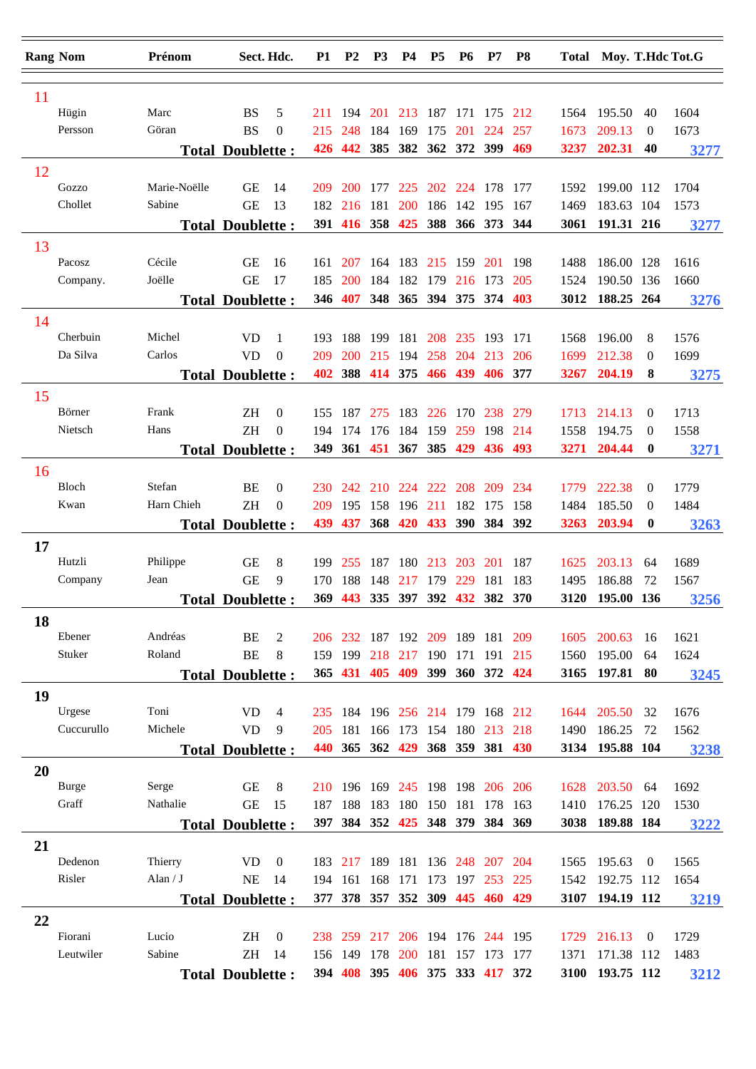|    | <b>Rang Nom</b> | Prénom       | Sect. Hdc.              |                | <b>P1</b> | <b>P2</b>                       | P <sub>3</sub> | <b>P4</b>  | P <sub>5</sub>      | <b>P6</b>   | P7                          | P <sub>8</sub> |      | Total Moy. T.Hdc Tot.G |                  |      |
|----|-----------------|--------------|-------------------------|----------------|-----------|---------------------------------|----------------|------------|---------------------|-------------|-----------------------------|----------------|------|------------------------|------------------|------|
| 11 |                 |              |                         |                |           |                                 |                |            |                     |             |                             |                |      |                        |                  |      |
|    | Hügin           | Marc         | <b>BS</b>               | 5              | 211       | 194                             | 201            | 213        | 187 171             |             | 175 212                     |                | 1564 | 195.50                 | 40               | 1604 |
|    | Persson         | Göran        | <b>BS</b>               | $\theta$       | 215       | 248                             | 184            | 169        | 175                 | <b>201</b>  | 224                         | 257            | 1673 | 209.13                 | $\overline{0}$   | 1673 |
|    |                 |              | <b>Total Doublette:</b> |                | 426       | 442                             | 385            | 382        |                     | 362 372 399 |                             | 469            | 3237 | 202.31                 | 40               | 3277 |
| 12 |                 |              |                         |                |           |                                 |                |            |                     |             |                             |                |      |                        |                  |      |
|    | Gozzo           | Marie-Noëlle | <b>GE</b>               | 14             | 209       | <b>200</b>                      | 177            | 225        |                     | 202 224     | 178                         | 177            | 1592 | 199.00 112             |                  | 1704 |
|    | Chollet         | Sabine       | <b>GE</b>               | 13             | 182       | 216                             | 181            | <b>200</b> | 186                 | 142         | 195                         | 167            | 1469 | 183.63 104             |                  | 1573 |
|    |                 |              | <b>Total Doublette:</b> |                |           | 391 416                         | 358 425        |            |                     | 388 366 373 |                             | 344            | 3061 | 191.31 216             |                  | 3277 |
| 13 |                 |              |                         |                |           |                                 |                |            |                     |             |                             |                |      |                        |                  |      |
|    | Pacosz          | Cécile       | <b>GE</b>               | 16             | 161       | 207                             | 164            | 183        | 215                 | 159         | <b>201</b>                  | 198            | 1488 | 186.00 128             |                  | 1616 |
|    | Company.        | Joëlle       | <b>GE</b>               | 17             | 185       | 200                             | 184            | 182        | 179                 | 216         | 173                         | 205            | 1524 | 190.50 136             |                  | 1660 |
|    |                 |              | <b>Total Doublette:</b> |                | 346       | 407                             | 348            | 365        | 394 375             |             | 374                         | 403            | 3012 | 188.25 264             |                  | 3276 |
| 14 |                 |              |                         |                |           |                                 |                |            |                     |             |                             |                |      |                        |                  |      |
|    | Cherbuin        | Michel       | <b>VD</b>               | 1              | 193       | 188                             | 199            | 181        | 208                 | 235         | 193                         | 171            | 1568 | 196.00                 | 8                | 1576 |
|    | Da Silva        | Carlos       | <b>VD</b>               | $\theta$       | 209       | 200                             | 215            | 194        | 258                 | 204         | 213                         | 206            | 1699 | 212.38                 | $\Omega$         | 1699 |
|    |                 |              | <b>Total Doublette:</b> |                | 402       | 388                             | 414            | 375        | 466                 | 439         | 406                         | 377            | 3267 | 204.19                 | 8                | 3275 |
| 15 |                 |              |                         |                |           |                                 |                |            |                     |             |                             |                |      |                        |                  |      |
|    | Börner          | Frank        | ΖH                      | $\overline{0}$ | 155       | 187                             | 275            | 183        | 226                 | 170         | 238                         | 279            | 1713 | 214.13                 | $\overline{0}$   | 1713 |
|    | Nietsch         | Hans         | <b>ZH</b>               | $\mathbf{0}$   | 194       | 174                             | 176            | 184        | 159                 | 259         | 198                         | 214            | 1558 | 194.75                 | $\theta$         | 1558 |
|    |                 |              | <b>Total Doublette:</b> |                | 349       |                                 |                |            | 361 451 367 385 429 |             | 436                         | 493            | 3271 | 204.44                 | $\bf{0}$         | 3271 |
| 16 |                 |              |                         |                |           |                                 |                |            |                     |             |                             |                |      |                        |                  |      |
|    | Bloch           | Stefan       | BE                      | $\theta$       | 230       | 242                             | 210            | 224        | 222                 | 208         | 209                         | 234            | 1779 | 222.38                 | $\overline{0}$   | 1779 |
|    | Kwan            | Harn Chieh   | <b>ZH</b>               | $\theta$       | 209       | 195                             | 158            | 196        | 211                 | 182         | 175                         | 158            | 1484 | 185.50                 | $\theta$         | 1484 |
|    |                 |              | <b>Total Doublette:</b> |                | 439       | 437                             | 368            |            |                     |             | 420 433 390 384 392         |                | 3263 | 203.94                 | $\bf{0}$         | 3263 |
|    |                 |              |                         |                |           |                                 |                |            |                     |             |                             |                |      |                        |                  |      |
| 17 | Hutzli          | Philippe     | <b>GE</b>               | 8              | 199       | 255                             | 187            | 180        | 213                 | 203         | 201                         | 187            | 1625 | 203.13                 | 64               | 1689 |
|    | Company         | Jean         | <b>GE</b>               | 9              | 170       | 188                             | 148            | 217        | 179                 | 229         | 181                         | 183            | 1495 | 186.88                 | 72               | 1567 |
|    |                 |              | <b>Total Doublette:</b> |                | 369       | 443                             |                |            | 335 397 392         | 432         | 382 370                     |                | 3120 | 195.00 136             |                  | 3256 |
|    |                 |              |                         |                |           |                                 |                |            |                     |             |                             |                |      |                        |                  |      |
| 18 | Ebener          | Andréas      | BE                      | 2              |           | 206 232 187 192 209             |                |            |                     |             | 189 181 209                 |                | 1605 | 200.63                 | 16               | 1621 |
|    | Stuker          | Roland       | <b>BE</b>               | 8              |           | 159 199                         | 218            | 217        | 190                 |             | 171 191 215                 |                | 1560 | 195.00                 | 64               | 1624 |
|    |                 |              | <b>Total Doublette:</b> |                |           | 365 431 405 409                 |                |            |                     |             | 399 360 372 424             |                | 3165 | 197.81 80              |                  | 3245 |
|    |                 |              |                         |                |           |                                 |                |            |                     |             |                             |                |      |                        |                  |      |
| 19 | Urgese          | Toni         | <b>VD</b>               | $\overline{4}$ | 235       |                                 |                |            |                     |             | 184 196 256 214 179 168 212 |                | 1644 | 205.50                 | 32               | 1676 |
|    | Cuccurullo      | Michele      | <b>VD</b>               | 9              | 205       | 181                             |                | 166 173    |                     |             | 154 180 213 218             |                | 1490 | 186.25                 | 72               | 1562 |
|    |                 |              | <b>Total Doublette:</b> |                | 440       | 365                             | 362            | 429        |                     |             | 368 359 381 430             |                | 3134 | 195.88 104             |                  | 3238 |
|    |                 |              |                         |                |           |                                 |                |            |                     |             |                             |                |      |                        |                  |      |
| 20 | <b>Burge</b>    | Serge        | <b>GE</b>               | 8              |           | 210 196 169 245 198 198 206 206 |                |            |                     |             |                             |                | 1628 | 203.50                 | 64               | 1692 |
|    | Graff           | Nathalie     | <b>GE</b>               | 15             | 187       | 188 183 180 150 181 178 163     |                |            |                     |             |                             |                | 1410 | 176.25 120             |                  | 1530 |
|    |                 |              | <b>Total Doublette:</b> |                |           | 397 384 352 425 348 379 384 369 |                |            |                     |             |                             |                |      | 3038 189.88 184        |                  | 3222 |
|    |                 |              |                         |                |           |                                 |                |            |                     |             |                             |                |      |                        |                  |      |
| 21 | Dedenon         | Thierry      | <b>VD</b>               | $\overline{0}$ |           | 183 217                         |                |            |                     |             | 189 181 136 248 207 204     |                | 1565 | 195.63                 | $\overline{0}$   | 1565 |
|    | Risler          | Alan $/ J$   | NE                      | -14            | 194       | 161                             | 168            | 171        |                     |             | 173 197 253 225             |                | 1542 | 192.75 112             |                  | 1654 |
|    |                 |              | <b>Total Doublette:</b> |                |           | 377 378 357 352 309 445 460 429 |                |            |                     |             |                             |                |      | 3107 194.19 112        |                  | 3219 |
|    |                 |              |                         |                |           |                                 |                |            |                     |             |                             |                |      |                        |                  |      |
| 22 | Fiorani         | Lucio        | ZH                      | $\overline{0}$ | 238       | 259                             | 217            |            |                     |             | 206 194 176 244 195         |                | 1729 | 216.13                 | $\boldsymbol{0}$ | 1729 |
|    | Leutwiler       | Sabine       | ZH                      | -14            |           | 156 149                         | 178            | <b>200</b> | 181                 | 157 173     |                             | 177            | 1371 | 171.38 112             |                  | 1483 |
|    |                 |              |                         |                |           | 394 408 395 406 375 333 417 372 |                |            |                     |             |                             |                |      | 3100 193.75 112        |                  |      |
|    |                 |              | <b>Total Doublette:</b> |                |           |                                 |                |            |                     |             |                             |                |      |                        |                  | 3212 |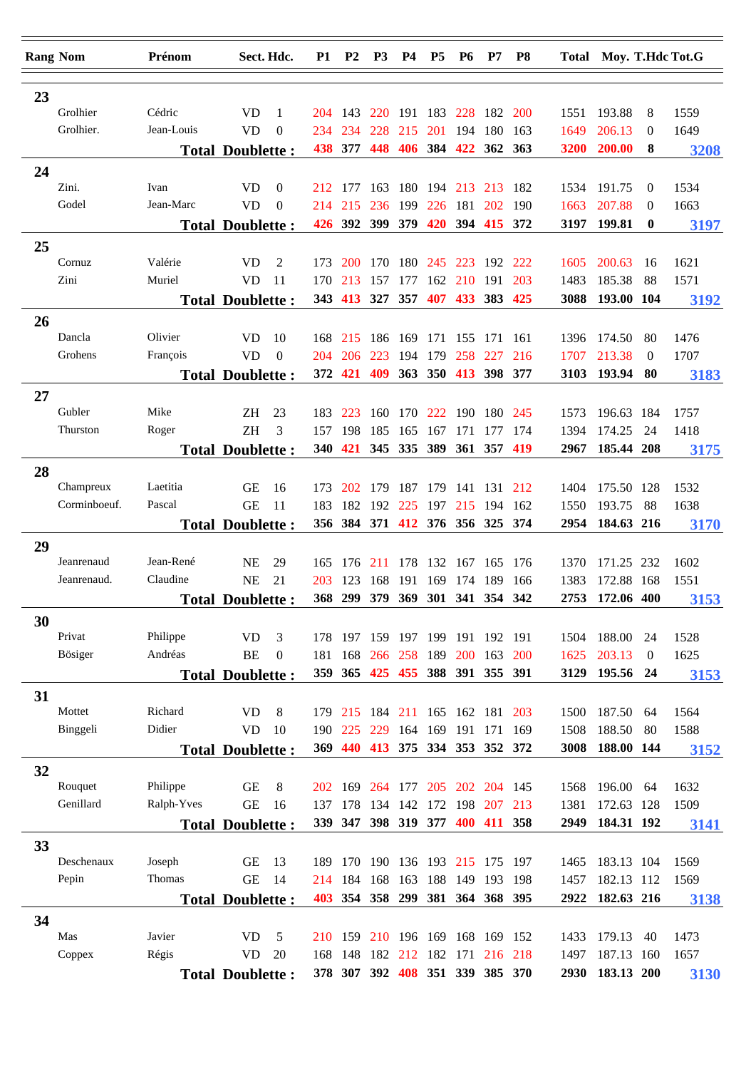|    | <b>Rang Nom</b> | Prénom            |                         | Sect. Hdc.       | <b>P1</b>  | <b>P2</b>  | P <sub>3</sub>                     | <b>P4</b> | P <sub>5</sub>  | <b>P6</b> | P7                              | P <sub>8</sub> |              | Total Moy. T.Hdc Tot.G |                      |      |
|----|-----------------|-------------------|-------------------------|------------------|------------|------------|------------------------------------|-----------|-----------------|-----------|---------------------------------|----------------|--------------|------------------------|----------------------|------|
|    |                 |                   |                         |                  |            |            |                                    |           |                 |           |                                 |                |              |                        |                      |      |
| 23 |                 |                   |                         |                  |            |            |                                    |           |                 |           |                                 |                |              |                        |                      |      |
|    | Grolhier        | Cédric            | <b>VD</b>               | $\mathbf{1}$     | 204        | 143        | <b>220</b>                         |           |                 |           | 191 183 228 182                 | <b>200</b>     | 1551         | 193.88                 | 8                    | 1559 |
|    | Grolhier.       | Jean-Louis        | <b>VD</b>               | $\mathbf{0}$     | 234        | 234        | 228                                | 215       | 201             | 194       | 180                             | 163            | 1649         | 206.13                 | 0                    | 1649 |
|    |                 |                   | <b>Total Doublette:</b> |                  | 438        | 377        | 448                                | 406       | 384             | 422       | 362 363                         |                | 3200         | 200.00                 | 8                    | 3208 |
| 24 |                 |                   |                         |                  |            |            |                                    |           |                 |           |                                 |                |              |                        |                      |      |
|    | Zini.<br>Godel  | Ivan<br>Jean-Marc | <b>VD</b>               | $\theta$         | 212        | 177        | 163                                | 180       | 194 213         |           | 213                             | 182            | 1534         | 191.75                 | $\theta$             | 1534 |
|    |                 |                   | <b>VD</b>               | $\Omega$         | 214        | 215        | 236<br>426 392 399 379 420 394 415 | 199       | 226 181 202     |           |                                 | 190<br>372     | 1663<br>3197 | 207.88<br>199.81       | $\theta$<br>$\bf{0}$ | 1663 |
|    |                 |                   | <b>Total Doublette:</b> |                  |            |            |                                    |           |                 |           |                                 |                |              |                        |                      | 3197 |
| 25 | Cornuz          | Valérie           | <b>VD</b>               | 2                |            | <b>200</b> | 170                                | 180       | 245             | 223       | 192                             | 222            |              | 200.63                 |                      | 1621 |
|    | Zini            | Muriel            | <b>VD</b>               | -11              | 173<br>170 | 213        | 157                                | 177       | 162             | 210       | 191                             | 203            | 1605<br>1483 | 185.38                 | 16<br>88             | 1571 |
|    |                 |                   | <b>Total Doublette:</b> |                  |            | 343 413    | 327                                | 357       | 407             | 433       | 383                             | 425            | 3088         | 193.00 104             |                      | 3192 |
|    |                 |                   |                         |                  |            |            |                                    |           |                 |           |                                 |                |              |                        |                      |      |
| 26 | Dancla          | Olivier           | <b>VD</b>               | 10               | 168        | 215        | 186                                | 169       | 171             | 155       | 171                             | 161            | 1396         | 174.50                 | -80                  | 1476 |
|    | Grohens         | François          | <b>VD</b>               | $\boldsymbol{0}$ | 204        | 206        | 223                                | 194       | 179             | 258       | 227                             | 216            | 1707         | 213.38                 | $\theta$             | 1707 |
|    |                 |                   | <b>Total Doublette:</b> |                  |            | 372 421    | 409                                |           | 363 350         |           | 413 398 377                     |                | 3103         | 193.94                 | 80                   | 3183 |
| 27 |                 |                   |                         |                  |            |            |                                    |           |                 |           |                                 |                |              |                        |                      |      |
|    | Gubler          | Mike              | ΖH                      | 23               | 183        | 223        | 160                                | 170       | 222             | 190       | 180                             | 245            | 1573         | 196.63                 | 184                  | 1757 |
|    | Thurston        | Roger             | ΖH                      | 3                | 157        | 198        | 185                                | 165       | 167             | 171       | 177                             | 174            | 1394         | 174.25                 | 24                   | 1418 |
|    |                 |                   | <b>Total Doublette:</b> |                  |            |            | 340 421 345 335 389                |           |                 |           | 361 357                         | 419            | 2967         | 185.44 208             |                      | 3175 |
| 28 |                 |                   |                         |                  |            |            |                                    |           |                 |           |                                 |                |              |                        |                      |      |
|    | Champreux       | Laetitia          | <b>GE</b>               | 16               | 173        | 202        | 179                                | 187       | 179             | 141       | 131                             | 212            | 1404         | 175.50 128             |                      | 1532 |
|    | Corminboeuf.    | Pascal            | <b>GE</b>               | 11               | 183        | 182        | 192                                | 225       | 197             | 215       | 194                             | -162           | 1550         | 193.75                 | -88                  | 1638 |
|    |                 |                   | <b>Total Doublette:</b> |                  |            |            |                                    |           |                 |           | 356 384 371 412 376 356 325 374 |                | 2954         | 184.63 216             |                      | 3170 |
| 29 |                 |                   |                         |                  |            |            |                                    |           |                 |           |                                 |                |              |                        |                      |      |
|    | Jeanrenaud      | Jean-René         | <b>NE</b>               | 29               | 165        | 176        | 211                                |           | 178 132 167 165 |           |                                 | 176            | 1370         | 171.25 232             |                      | 1602 |
|    | Jeanrenaud.     | Claudine          | <b>NE</b>               | 21               | 203        | 123        | 168                                | 191       | 169             | 174 189   |                                 | 166            | 1383         | 172.88 168             |                      | 1551 |
|    |                 |                   | <b>Total Doublette:</b> |                  |            | 368 299    |                                    |           |                 |           | 379 369 301 341 354 342         |                | 2753         | 172.06 400             |                      | 3153 |
| 30 |                 |                   |                         |                  |            |            |                                    |           |                 |           |                                 |                |              |                        |                      |      |
|    | Privat          | Philippe          | <b>VD</b>               | 3                | 178        |            | 197 159 197 199 191 192            |           |                 |           |                                 | 191            | 1504         | 188.00                 | 24                   | 1528 |
|    | Bösiger         | Andréas           | BE                      | $\theta$         | 181        | 168        | 266 258                            |           | 189 200         |           | 163                             | <b>200</b>     | 1625         | 203.13                 | $\theta$             | 1625 |
|    |                 |                   | <b>Total Doublette:</b> |                  |            |            |                                    |           |                 |           | 359 365 425 455 388 391 355 391 |                | 3129         | 195.56                 | -24                  | 3153 |
| 31 |                 |                   |                         |                  |            |            |                                    |           |                 |           |                                 |                |              |                        |                      |      |
|    | Mottet          | Richard           | <b>VD</b>               | $8\phantom{.0}$  |            |            |                                    |           |                 |           | 179 215 184 211 165 162 181 203 |                | 1500         | 187.50                 | 64                   | 1564 |
|    | Binggeli        | Didier            | <b>VD</b>               | 10               | 190        | 225        |                                    |           |                 |           | 229 164 169 191 171 169         |                | 1508         | 188.50                 | 80                   | 1588 |
|    |                 |                   | <b>Total Doublette:</b> |                  |            |            |                                    |           |                 |           | 369 440 413 375 334 353 352 372 |                | 3008         | 188.00 144             |                      | 3152 |
| 32 |                 |                   |                         |                  |            |            |                                    |           |                 |           |                                 |                |              |                        |                      |      |
|    | Rouquet         | Philippe          | <b>GE</b>               | $8\phantom{.0}$  | <b>202</b> | 169        |                                    |           |                 |           | 264 177 205 202 204 145         |                | 1568         | 196.00 64              |                      | 1632 |
|    | Genillard       | Ralph-Yves        | <b>GE</b>               | 16               | 137        |            |                                    |           |                 |           | 178 134 142 172 198 207         | 213            | 1381         | 172.63 128             |                      | 1509 |
|    |                 |                   | <b>Total Doublette:</b> |                  |            |            |                                    |           |                 |           | 339 347 398 319 377 400 411 358 |                | 2949         | 184.31 192             |                      | 3141 |
| 33 |                 |                   |                         |                  |            |            |                                    |           |                 |           |                                 |                |              |                        |                      |      |
|    | Deschenaux      | Joseph            | <b>GE</b>               | 13               | 189        |            |                                    |           |                 |           | 170 190 136 193 215 175 197     |                | 1465         | 183.13 104             |                      | 1569 |
|    | Pepin           | Thomas            | <b>GE</b>               | 14               | 214        | 184        | 168 163 188 149                    |           |                 |           | 193                             | 198            | 1457         | 182.13 112             |                      | 1569 |
|    |                 |                   | <b>Total Doublette:</b> |                  |            |            |                                    |           |                 |           | 403 354 358 299 381 364 368 395 |                | 2922         | 182.63 216             |                      | 3138 |
| 34 |                 |                   |                         |                  |            |            |                                    |           |                 |           |                                 |                |              |                        |                      |      |
|    | Mas             | Javier            | <b>VD</b>               | 5                |            |            |                                    |           |                 |           | 210 159 210 196 169 168 169 152 |                | 1433         | 179.13                 | 40                   | 1473 |
|    | Coppex          | Régis             | <b>VD</b>               | 20               | 168        | 148        |                                    |           |                 |           | 182 212 182 171 216 218         |                | 1497         | 187.13 160             |                      | 1657 |
|    |                 |                   | <b>Total Doublette:</b> |                  |            |            |                                    |           |                 |           | 378 307 392 408 351 339 385 370 |                |              | 2930 183.13 200        |                      | 3130 |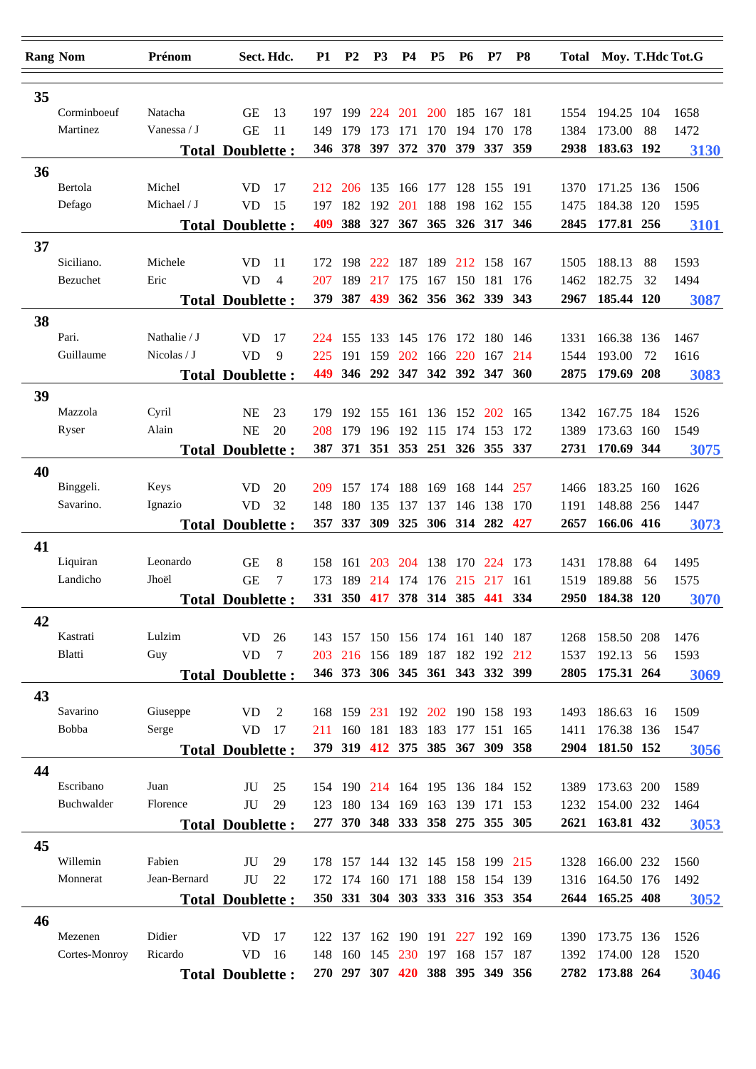|    | <b>Rang Nom</b>    | Prénom        |                         | Sect. Hdc.     | P <sub>1</sub> | <b>P2</b>                              | P <sub>3</sub>              | <b>P4</b>               | P <sub>5</sub> | <b>P6</b>       | P7         | P8   |              | Total Moy. T.Hdc Tot.G |     |              |
|----|--------------------|---------------|-------------------------|----------------|----------------|----------------------------------------|-----------------------------|-------------------------|----------------|-----------------|------------|------|--------------|------------------------|-----|--------------|
|    |                    |               |                         |                |                |                                        |                             |                         |                |                 |            |      |              |                        |     |              |
| 35 | Corminboeuf        | Natacha       | <b>GE</b>               | 13             |                |                                        |                             |                         |                | 200 185 167 181 |            |      |              | 194.25 104             |     |              |
|    | Martinez           | Vanessa / $J$ | <b>GE</b>               | 11             | 197<br>149     | - 199<br>179                           | 224<br>173                  | 201<br>171              | 170            | 194             | 170        | 178  | 1554<br>1384 | 173.00                 | 88  | 1658<br>1472 |
|    |                    |               | <b>Total Doublette:</b> |                | 346            | 378                                    | 397                         | 372                     | 370 379        |                 | <b>337</b> | 359  | 2938         | 183.63 192             |     | 3130         |
| 36 |                    |               |                         |                |                |                                        |                             |                         |                |                 |            |      |              |                        |     |              |
|    | Bertola            | Michel        | <b>VD</b>               | 17             | 212            | 206                                    | 135                         | 166                     | 177            | 128             | 155        | 191  | 1370         | 171.25 136             |     | 1506         |
|    | Defago             | Michael / J   | <b>VD</b>               | 15             | 197            | 182                                    | 192                         | 201                     | 188            | 198             | 162        | -155 | 1475         | 184.38 120             |     | 1595         |
|    |                    |               | <b>Total Doublette:</b> |                | 409            | 388                                    | 327 367                     |                         | 365            | 326 317         |            | 346  | 2845         | 177.81 256             |     | 3101         |
| 37 |                    |               |                         |                |                |                                        |                             |                         |                |                 |            |      |              |                        |     |              |
|    | Siciliano.         | Michele       | <b>VD</b>               | 11             | 172            | 198                                    | 222                         | 187                     | 189            | 212             | 158        | 167  | 1505         | 188.13                 | 88  | 1593         |
|    | Bezuchet           | Eric          | <b>VD</b>               | $\overline{4}$ | 207            | 189                                    | 217                         | 175                     | 167            | 150             | 181        | 176  | 1462         | 182.75                 | 32  | 1494         |
|    |                    |               | <b>Total Doublette:</b> |                | 379            | 387                                    | 439                         | 362                     | 356 362        |                 | 339        | 343  | 2967         | 185.44 120             |     | 3087         |
| 38 |                    |               |                         |                |                |                                        |                             |                         |                |                 |            |      |              |                        |     |              |
|    | Pari.              | Nathalie / J  | <b>VD</b>               | 17             | 224            | 155                                    | 133                         | 145                     |                | 176 172         | 180        | -146 | 1331         | 166.38 136             |     | 1467         |
|    | Guillaume          | Nicolas $/ J$ | <b>VD</b>               | 9              | 225            | 191                                    | 159                         | 202                     | 166            | 220             | 167        | 214  | 1544         | 193.00                 | 72  | 1616         |
|    |                    |               | <b>Total Doublette:</b> |                | 449            |                                        | 346 292 347 342 392 347     |                         |                |                 |            | 360  | 2875         | 179.69 208             |     | 3083         |
| 39 |                    |               |                         |                |                |                                        |                             |                         |                |                 |            |      |              |                        |     |              |
|    | Mazzola            | Cyril         | <b>NE</b>               | 23             | 179            | 192                                    | 155                         | 161                     | 136            | 152             | <b>202</b> | 165  | 1342         | 167.75 184             |     | 1526         |
|    | Ryser              | Alain         | <b>NE</b>               | 20             | 208            | 179                                    | 196                         | 192                     | 115            | 174             | 153        | 172  | 1389         | 173.63                 | 160 | 1549         |
|    |                    |               | <b>Total Doublette:</b> |                |                | 387 371 351 353 251 326 355 337        |                             |                         |                |                 |            |      | 2731         | 170.69 344             |     | 3075         |
| 40 |                    |               |                         |                |                |                                        |                             |                         |                |                 |            |      |              |                        |     |              |
|    | Binggeli.          | Keys          | <b>VD</b>               | 20             | 209            | 157                                    | 174                         | 188                     | 169            | 168             | 144        | 257  | 1466         | 183.25 160             |     | 1626         |
|    | Savarino.          | Ignazio       | <b>VD</b>               | 32             | 148            | 180                                    | 135                         | 137                     | 137            | 146             | 138        | 170  | 1191         | 148.88 256             |     | 1447         |
|    |                    |               | <b>Total Doublette:</b> |                |                | 357 337                                | <b>309</b>                  | 325                     |                | 306 314 282     |            | 427  | 2657         | 166.06 416             |     | 3073         |
| 41 |                    |               |                         |                |                |                                        |                             |                         |                |                 |            |      |              |                        |     |              |
|    | Liquiran           | Leonardo      | <b>GE</b>               | 8              | 158            | 161                                    | 203                         | 204                     | 138            | 170             | 224 173    |      | 1431         | 178.88                 | 64  | 1495         |
|    | Landicho           | Jhoël         | <b>GE</b>               | 7              | 173            | 189                                    | 214                         | 174                     | 176            | 215             | 217        | 161  | 1519         | 189.88                 | 56  | 1575         |
|    |                    |               | <b>Total Doublette:</b> |                |                | 331 350                                |                             | 417 378 314 385 441     |                |                 |            | 334  | 2950         | 184.38 120             |     | 3070         |
| 42 |                    |               |                         |                |                |                                        |                             |                         |                |                 |            |      |              |                        |     |              |
|    | Kastrati<br>Blatti | Lulzim<br>Guy | <b>VD</b><br><b>VD</b>  | 26<br>7        | 203            | 143 157 150 156 174 161 140 187<br>216 |                             | 156 189 187 182 192 212 |                |                 |            |      | 1268<br>1537 | 158.50 208<br>192.13   | 56  | 1476         |
|    |                    |               | <b>Total Doublette:</b> |                |                | 346 373 306 345 361 343 332 399        |                             |                         |                |                 |            |      | 2805         | 175.31 264             |     | 1593<br>3069 |
|    |                    |               |                         |                |                |                                        |                             |                         |                |                 |            |      |              |                        |     |              |
| 43 | Savarino           | Giuseppe      | V <sub>D</sub>          | 2              |                | 168 159                                |                             | 231 192 202 190 158 193 |                |                 |            |      | 1493         | 186.63                 | 16  | 1509         |
|    | Bobba              | Serge         | VD.                     | - 17           | 211            | 160                                    | 181                         | 183                     | 183            | 177             | 151 165    |      | 1411         | 176.38 136             |     | 1547         |
|    |                    |               | <b>Total Doublette:</b> |                |                | 379 319 412 375 385 367 309 358        |                             |                         |                |                 |            |      | 2904         | 181.50 152             |     | 3056         |
| 44 |                    |               |                         |                |                |                                        |                             |                         |                |                 |            |      |              |                        |     |              |
|    | Escribano          | Juan          | JU                      | 25             |                | 154 190 214 164 195 136 184 152        |                             |                         |                |                 |            |      |              | 1389 173.63 200        |     | 1589         |
|    | Buchwalder         | Florence      | JU                      | 29             | 123            |                                        | 180 134 169 163 139 171 153 |                         |                |                 |            |      | 1232         | 154.00 232             |     | 1464         |
|    |                    |               | <b>Total Doublette:</b> |                |                | 277 370 348 333 358 275 355 305        |                             |                         |                |                 |            |      |              | 2621 163.81 432        |     | 3053         |
| 45 |                    |               |                         |                |                |                                        |                             |                         |                |                 |            |      |              |                        |     |              |
|    | Willemin           | Fabien        | JU                      | 29             |                | 178 157                                |                             | 144 132 145 158 199 215 |                |                 |            |      | 1328         | 166.00 232             |     | 1560         |
|    | Monnerat           | Jean-Bernard  | JU                      | 22             | 172            | 174                                    | 160                         | 171                     |                | 188 158         | 154 139    |      | 1316         | 164.50 176             |     | 1492         |
|    |                    |               | <b>Total Doublette:</b> |                |                | 350 331 304 303 333 316 353 354        |                             |                         |                |                 |            |      |              | 2644 165.25 408        |     | 3052         |
| 46 |                    |               |                         |                |                |                                        |                             |                         |                |                 |            |      |              |                        |     |              |
|    | Mezenen            | Didier        | VD.                     | 17             |                | 122 137                                |                             | 162 190 191 227 192 169 |                |                 |            |      | 1390         | 173.75 136             |     | 1526         |
|    | Cortes-Monroy      | Ricardo       | <b>VD</b>               | - 16           | 148            | 160                                    | 145                         |                         | 230 197 168    |                 | 157 187    |      |              | 1392 174.00 128        |     | 1520         |
|    |                    |               | <b>Total Doublette:</b> |                |                | 270 297 307 420 388 395 349 356        |                             |                         |                |                 |            |      |              | 2782 173.88 264        |     | 3046         |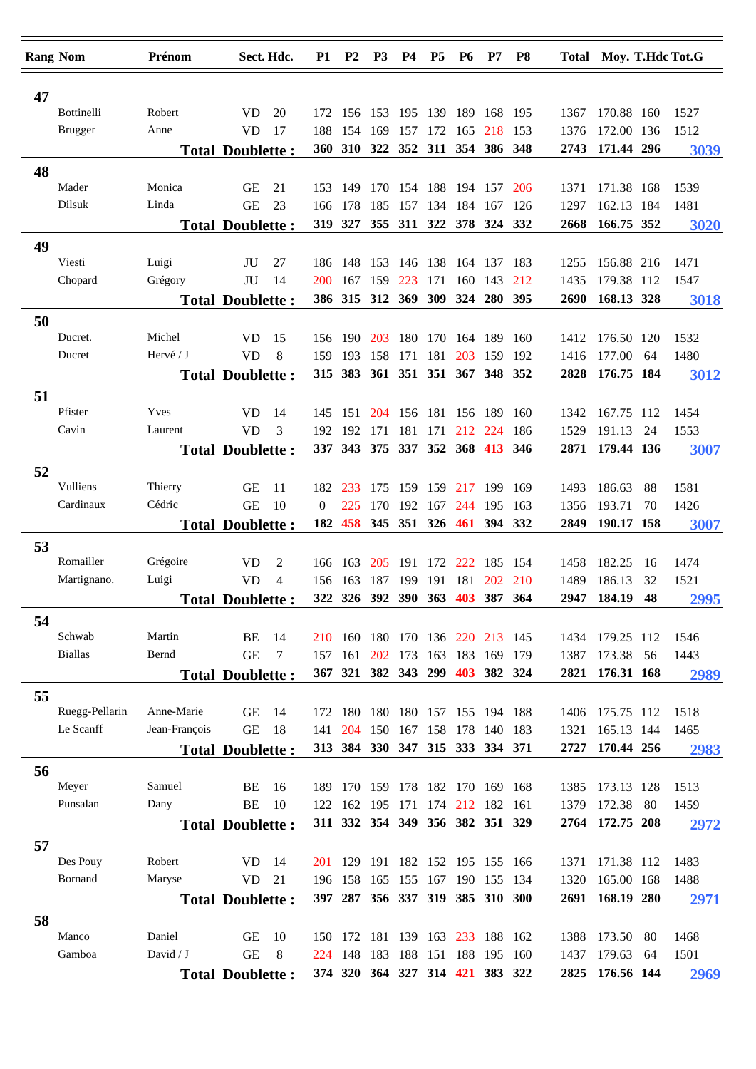| <b>Rang Nom</b> |                       | Prénom            | Sect. Hdc.              |                | <b>P1</b>  | <b>P2</b>                       | P <sub>3</sub> | <b>P4</b>       | P <sub>5</sub> | <b>P6</b>       | P7                                | P <sub>8</sub> |              | Total Moy. T.Hdc Tot.G |          |      |
|-----------------|-----------------------|-------------------|-------------------------|----------------|------------|---------------------------------|----------------|-----------------|----------------|-----------------|-----------------------------------|----------------|--------------|------------------------|----------|------|
|                 |                       |                   |                         |                |            |                                 |                |                 |                |                 |                                   |                |              |                        |          |      |
| 47              | Bottinelli            | Robert            | <b>VD</b>               | 20             | 172        | 156                             | 153            |                 | 195 139 189    |                 | 168 195                           |                | 1367         | 170.88 160             |          | 1527 |
|                 | <b>Brugger</b>        | Anne              | <b>VD</b>               | 17             | 188        | 154                             | 169            | 157             | 172            | 165             | 218                               | 153            | 1376         | 172.00                 | 136      | 1512 |
|                 |                       |                   | <b>Total Doublette:</b> |                | <b>360</b> | <b>310</b>                      | 322            | 352             |                |                 | 311 354 386 348                   |                | 2743         | 171.44 296             |          | 3039 |
| 48              |                       |                   |                         |                |            |                                 |                |                 |                |                 |                                   |                |              |                        |          |      |
|                 | Mader                 | Monica            | <b>GE</b>               | 21             | 153        | -149                            | 170            |                 |                | 154 188 194 157 |                                   | 206            | 1371         | 171.38 168             |          | 1539 |
|                 | Dilsuk                | Linda             | <b>GE</b>               | 23             | 166        | 178                             | 185            | 157             |                | 134 184 167     |                                   | 126            | 1297         | 162.13 184             |          | 1481 |
|                 |                       |                   | <b>Total Doublette:</b> |                | 319        | 327                             |                |                 |                |                 | 355 311 322 378 324               | 332            | 2668         | 166.75 352             |          | 3020 |
| 49              |                       |                   |                         |                |            |                                 |                |                 |                |                 |                                   |                |              |                        |          |      |
|                 | Viesti                | Luigi             | JU                      | 27             | 186        | 148                             | 153            | 146             | 138            | 164             | 137                               | 183            | 1255         | 156.88 216             |          | 1471 |
|                 | Chopard               | Grégory           | JU                      | 14             | 200        | 167                             | 159            | 223             | 171            | 160             | 143                               | 212            | 1435         | 179.38 112             |          | 1547 |
|                 |                       |                   | <b>Total Doublette:</b> |                |            | 386 315                         | 312 369        |                 | 309            | 324             | 280                               | 395            | 2690         | 168.13 328             |          | 3018 |
|                 |                       |                   |                         |                |            |                                 |                |                 |                |                 |                                   |                |              |                        |          |      |
| 50              | Ducret.               | Michel            | <b>VD</b>               | 15             | 156        | 190                             | 203            | 180             | 170            | 164             | 189                               | 160            | 1412         | 176.50 120             |          | 1532 |
|                 | Ducret                | Hervé / J         | <b>VD</b>               | 8              | 159        | 193                             | 158            | 171             | 181            | 203             | 159                               | 192            | 1416         | 177.00                 | 64       | 1480 |
|                 |                       |                   | <b>Total Doublette:</b> |                |            | 315 383                         |                | 361 351 351 367 |                |                 | 348 352                           |                | 2828         | 176.75 184             |          | 3012 |
|                 |                       |                   |                         |                |            |                                 |                |                 |                |                 |                                   |                |              |                        |          |      |
| 51              | Pfister               | Yves              | <b>VD</b>               | 14             |            |                                 | 204            |                 | 181            | 156             | -189                              |                |              |                        |          | 1454 |
|                 | Cavin                 | Laurent           | <b>VD</b>               | 3              | 145<br>192 | 151<br>192                      | 171            | 156<br>181      | 171            | 212             | 224                               | 160<br>186     | 1342         | 167.75 112<br>191.13   | 24       |      |
|                 |                       |                   |                         |                |            | 337 343 375 337 352 368 413     |                |                 |                |                 |                                   | 346            | 1529         | 2871 179.44 136        |          | 1553 |
|                 |                       |                   | <b>Total Doublette:</b> |                |            |                                 |                |                 |                |                 |                                   |                |              |                        |          | 3007 |
| 52              |                       |                   |                         |                |            |                                 |                |                 |                |                 |                                   |                |              |                        |          |      |
|                 | Vulliens<br>Cardinaux | Thierry<br>Cédric | <b>GE</b>               | 11             | 182        | 233                             | 175            | 159             | 159            | 217             | 199                               | 169            | 1493         | 186.63                 | 88       | 1581 |
|                 |                       |                   | <b>GE</b>               | 10             | $\Omega$   | 225                             | 170            | 192             | 167            | 244             | 195                               | 163            | 1356         | 193.71                 | 70       | 1426 |
|                 |                       |                   | <b>Total Doublette:</b> |                | 182        | 458                             |                |                 |                |                 | 345 351 326 461 394 332           |                | 2849         | 190.17 158             |          | 3007 |
| 53              |                       |                   |                         |                |            |                                 |                |                 |                |                 |                                   |                |              |                        |          |      |
|                 | Romailler             | Grégoire          | <b>VD</b>               | $\overline{2}$ |            | 166 163                         | 205            | 191             |                | 172 222         | 185                               | 154            | 1458         | 182.25                 | 16       | 1474 |
|                 | Martignano.           | Luigi             | <b>VD</b>               | $\overline{4}$ | 156        | 163                             | 187            | 199             | 191            | 181             | <b>202</b><br>392 390 363 403 387 | 210<br>364     | 1489<br>2947 | 186.13<br>184.19       | 32<br>48 | 1521 |
|                 |                       |                   | <b>Total Doublette:</b> |                | 322        | 326                             |                |                 |                |                 |                                   |                |              |                        |          | 2995 |
| 54              |                       |                   |                         |                |            |                                 |                |                 |                |                 |                                   |                |              |                        |          |      |
|                 | Schwab                | Martin            | BE                      | 14             |            | 210 160                         |                |                 |                |                 | 180 170 136 220 213 145           |                | 1434         | 179.25 112             |          | 1546 |
|                 | <b>Biallas</b>        | Bernd             | <b>GE</b>               | 7              | 157        | 161                             | 202 173        |                 |                | 163 183 169     |                                   | 179            | 1387         | 173.38                 | 56       | 1443 |
|                 |                       |                   | <b>Total Doublette:</b> |                |            | 367 321 382 343 299 403 382 324 |                |                 |                |                 |                                   |                | 2821         | 176.31 168             |          | 2989 |
| 55              |                       |                   |                         |                |            |                                 |                |                 |                |                 |                                   |                |              |                        |          |      |
|                 | Ruegg-Pellarin        | Anne-Marie        | <b>GE</b>               | 14             |            | 172 180                         | 180            |                 |                |                 | 180 157 155 194 188               |                | 1406         | 175.75 112             |          | 1518 |
|                 | Le Scanff             | Jean-François     | <b>GE</b>               | 18             | 141        | 204                             |                | 150 167         | 158 178        |                 | 140 183                           |                | 1321         | 165.13 144             |          | 1465 |
|                 |                       |                   | <b>Total Doublette:</b> |                |            | 313 384 330 347 315 333 334 371 |                |                 |                |                 |                                   |                | 2727         | 170.44 256             |          | 2983 |
| 56              |                       |                   |                         |                |            |                                 |                |                 |                |                 |                                   |                |              |                        |          |      |
|                 | Meyer                 | Samuel            | BE                      | 16             | 189        | 170 159 178 182 170 169 168     |                |                 |                |                 |                                   |                | 1385         | 173.13 128             |          | 1513 |
|                 | Punsalan              | Dany              | BE                      | 10             | 122        | 162 195 171 174 212 182 161     |                |                 |                |                 |                                   |                | 1379         | 172.38                 | -80      | 1459 |
|                 |                       |                   | <b>Total Doublette:</b> |                |            | 311 332 354 349 356 382 351 329 |                |                 |                |                 |                                   |                |              | 2764 172.75 208        |          | 2972 |
| 57              |                       |                   |                         |                |            |                                 |                |                 |                |                 |                                   |                |              |                        |          |      |
|                 | Des Pouy              | Robert            | <b>VD</b>               | -14            |            | 201 129                         |                |                 |                |                 | 191 182 152 195 155 166           |                | 1371         | 171.38 112             |          | 1483 |
|                 | Bornand               | Maryse            | <b>VD</b>               | 21             |            | 196 158                         | 165            | 155             |                |                 | 167 190 155 134                   |                | 1320         | 165.00 168             |          | 1488 |
|                 |                       |                   | <b>Total Doublette:</b> |                |            | 397 287 356 337 319 385 310 300 |                |                 |                |                 |                                   |                |              | 2691 168.19 280        |          | 2971 |
| 58              |                       |                   |                         |                |            |                                 |                |                 |                |                 |                                   |                |              |                        |          |      |
|                 | Manco                 | Daniel            | <b>GE</b>               | 10             |            | 150 172                         | 181            | 139 163 233     |                |                 | 188 162                           |                | 1388         | 173.50                 | -80      | 1468 |
|                 | Gamboa                | David $/ J$       | <b>GE</b>               | 8              | 224        | 148                             | 183            | 188             | 151 188        |                 | 195                               | 160            | 1437         | 179.63                 | 64       | 1501 |
|                 |                       |                   | <b>Total Doublette:</b> |                |            | 374 320 364 327 314 421 383 322 |                |                 |                |                 |                                   |                |              | 2825 176.56 144        |          | 2969 |